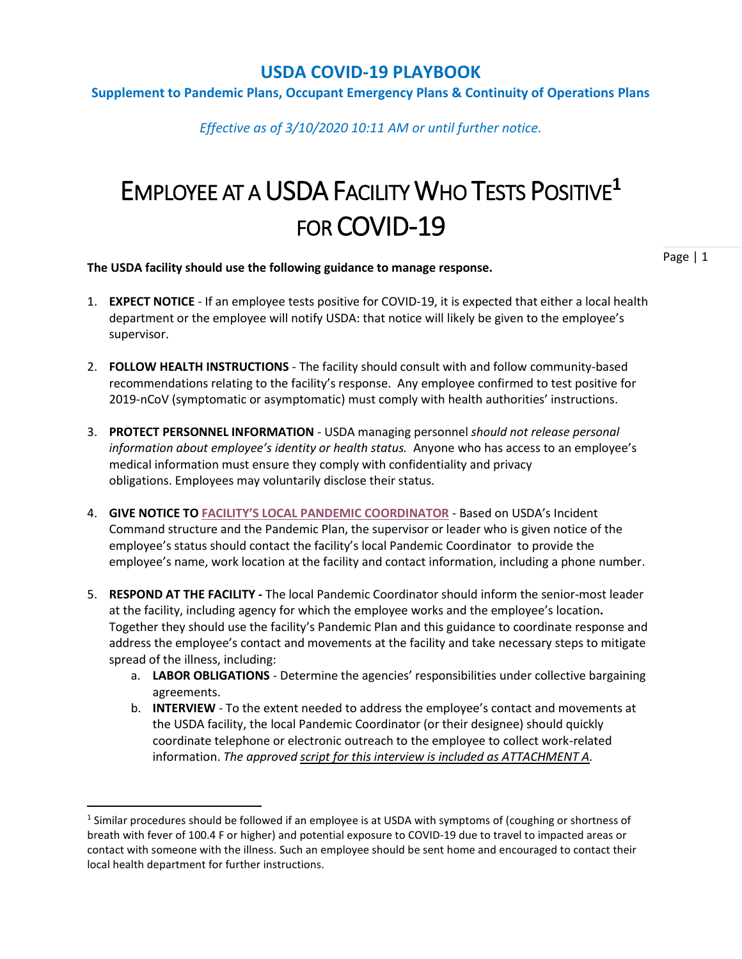#### **Supplement to Pandemic Plans, Occupant Emergency Plans & Continuity of Operations Plans**

*Effective as of 3/10/2020 10:11 AM or until further notice.*

# EMPLOYEE AT A USDA FACILITY WHO TESTS POSITIVE**<sup>1</sup>** FOR COVID-19

**The USDA facility should use the following guidance to manage response.**

- 1. **EXPECT NOTICE** If an employee tests positive for COVID-19, it is expected that either a local health department or the employee will notify USDA: that notice will likely be given to the employee's supervisor.
- 2. **FOLLOW HEALTH INSTRUCTIONS** The facility should consult with and follow community-based recommendations relating to the facility's response. Any employee confirmed to test positive for 2019-nCoV (symptomatic or asymptomatic) must comply with health authorities' instructions.
- 3. **PROTECT PERSONNEL INFORMATION** USDA managing personnel *should not release personal information about employee's identity or health status.* Anyone who has access to an employee's medical information must ensure they comply with confidentiality and privacy obligations. Employees may voluntarily disclose their status.
- 4. **GIVE NOTICE TO FACILITY'S LOCAL [PANDEMIC COORDINATOR](https://gcc02.safelinks.protection.outlook.com/ap/x-59584e83/?url=https%3A%2F%2Fusdagcc.sharepoint.com%2F%3Ax%3A%2Fr%2Fsites%2FCOVID19%2F_layouts%2F15%2FDoc.aspx%3Fsourcedoc%3D%257BBB2FDD6D-1B89-400D-BF4B-49EED7F7DD33%257D%26file%3DMission%2520Area%2520Pandemic%2520Coordinators.xlsx%26action%3Ddefault%26mobileredirect%3Dtrue&data=02%7C01%7C%7C9ccba9b0c29e42413a6008d7c470796a%7Ced5b36e701ee4ebc867ee03cfa0d4697%7C0%7C0%7C637193859656930311&sdata=QMPGkec3hQGoTP4ys9bt8crnVArMBswJEQmhgnHZGNw%3D&reserved=0)** Based on USDA's Incident Command structure and the Pandemic Plan, the supervisor or leader who is given notice of the employee's status should contact the facility's local Pandemic Coordinator to provide the employee's name, work location at the facility and contact information, including a phone number.
- 5. **RESPOND AT THE FACILITY -** The local Pandemic Coordinator should inform the senior-most leader at the facility, including agency for which the employee works and the employee's location**.** Together they should use the facility's Pandemic Plan and this guidance to coordinate response and address the employee's contact and movements at the facility and take necessary steps to mitigate spread of the illness, including:
	- a. **LABOR OBLIGATIONS** Determine the agencies' responsibilities under collective bargaining agreements.
	- b. **INTERVIEW** To the extent needed to address the employee's contact and movements at the USDA facility, the local Pandemic Coordinator (or their designee) should quickly coordinate telephone or electronic outreach to the employee to collect work-related information. *The approved script for this interview is included as ATTACHMENT A.*

 $^1$  Similar procedures should be followed if an employee is at USDA with symptoms of (coughing or shortness of breath with fever of 100.4 F or higher) and potential exposure to COVID-19 due to travel to impacted areas or contact with someone with the illness. Such an employee should be sent home and encouraged to contact their local health department for further instructions.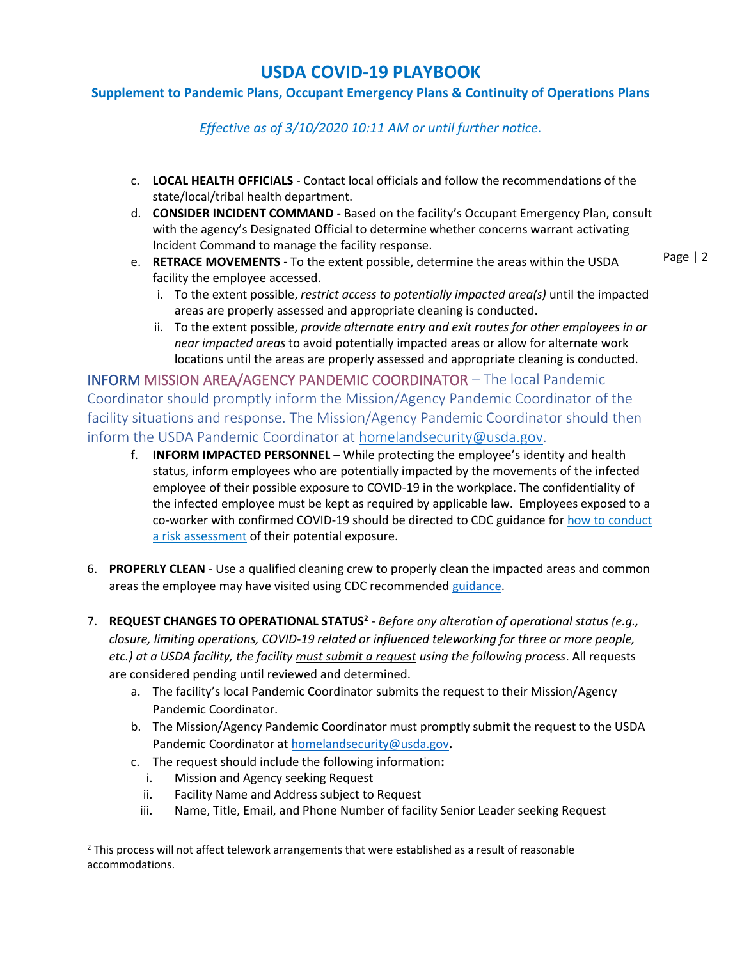## **Supplement to Pandemic Plans, Occupant Emergency Plans & Continuity of Operations Plans**

*Effective as of 3/10/2020 10:11 AM or until further notice.*

- c. **LOCAL HEALTH OFFICIALS** Contact local officials and follow the recommendations of the state/local/tribal health department.
- d. **CONSIDER INCIDENT COMMAND -** Based on the facility's Occupant Emergency Plan, consult with the agency's Designated Official to determine whether concerns warrant activating Incident Command to manage the facility response.
- e. **RETRACE MOVEMENTS -** To the extent possible, determine the areas within the USDA facility the employee accessed.
	- i. To the extent possible, *restrict access to potentially impacted area(s)* until the impacted areas are properly assessed and appropriate cleaning is conducted.
	- ii. To the extent possible, *provide alternate entry and exit routes for other employees in or near impacted areas* to avoid potentially impacted areas or allow for alternate work locations until the areas are properly assessed and appropriate cleaning is conducted.

INFORM [MISSION AREA/AGENCY PANDEMIC COORDINATOR](https://gcc02.safelinks.protection.outlook.com/ap/x-59584e83/?url=https%3A%2F%2Fusdagcc.sharepoint.com%2F%3Ax%3A%2Fr%2Fsites%2FCOVID19%2F_layouts%2F15%2FDoc.aspx%3Fsourcedoc%3D%257BBB2FDD6D-1B89-400D-BF4B-49EED7F7DD33%257D%26file%3DMission%2520Area%2520Pandemic%2520Coordinators.xlsx%26action%3Ddefault%26mobileredirect%3Dtrue&data=02%7C01%7C%7C9ccba9b0c29e42413a6008d7c470796a%7Ced5b36e701ee4ebc867ee03cfa0d4697%7C0%7C0%7C637193859656930311&sdata=QMPGkec3hQGoTP4ys9bt8crnVArMBswJEQmhgnHZGNw%3D&reserved=0) – The local Pandemic Coordinator should promptly inform the Mission/Agency Pandemic Coordinator of the facility situations and response. The Mission/Agency Pandemic Coordinator should then inform the USDA Pandemic Coordinator at [homelandsecurity@usda.gov.](mailto:homelandsecurity@usda.gov)

- f. **INFORM IMPACTED PERSONNEL** While protecting the employee's identity and health status, inform employees who are potentially impacted by the movements of the infected employee of their possible exposure to COVID-19 in the workplace. The confidentiality of the infected employee must be kept as required by applicable law. Employees exposed to a co-worker with confirmed COVID-19 should be directed to CDC guidance for [how to conduct](https://www.cdc.gov/coronavirus/2019-ncov/php/risk-assessment.html)  [a risk assessment](https://www.cdc.gov/coronavirus/2019-ncov/php/risk-assessment.html) of their potential exposure.
- 6. **PROPERLY CLEAN** Use a qualified cleaning crew to properly clean the impacted areas and common areas the employee may have visited using CDC recommended [guidance.](https://www.cdc.gov/coronavirus/2019-ncov/community/organizations/cleaning-disinfection.html)
- 7. **REQUEST CHANGES TO OPERATIONAL STATUS<sup>2</sup>** *Before any alteration of operational status (e.g., closure, limiting operations, COVID-19 related or influenced teleworking for three or more people, etc.) at a USDA facility, the facility must submit a request using the following process*. All requests are considered pending until reviewed and determined.
	- a. The facility's local Pandemic Coordinator submits the request to their Mission/Agency Pandemic Coordinator.
	- b. The Mission/Agency Pandemic Coordinator must promptly submit the request to the USDA Pandemic Coordinator at [homelandsecurity@usda.gov](mailto:homelandsecurity@usda.gov)**.**
	- c. The request should include the following information**:**
		- i. Mission and Agency seeking Request
		- ii. Facility Name and Address subject to Request
		- iii. Name, Title, Email, and Phone Number of facility Senior Leader seeking Request

 $<sup>2</sup>$  This process will not affect telework arrangements that were established as a result of reasonable</sup> accommodations.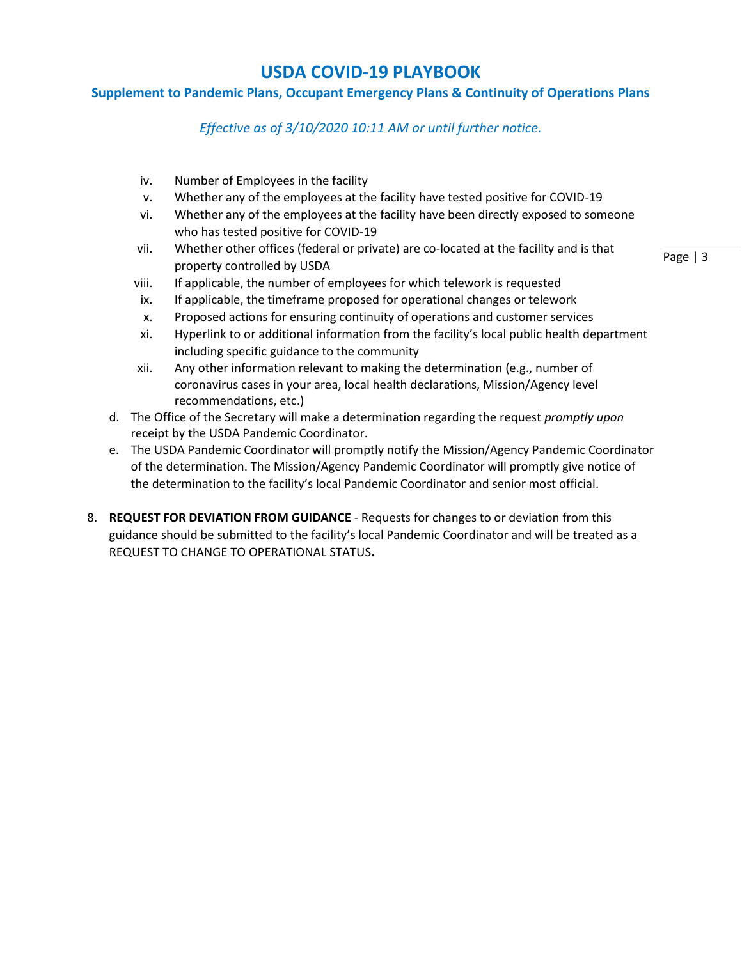### **Supplement to Pandemic Plans, Occupant Emergency Plans & Continuity of Operations Plans**

*Effective as of 3/10/2020 10:11 AM or until further notice.*

- iv. Number of Employees in the facility
- v. Whether any of the employees at the facility have tested positive for COVID-19
- vi. Whether any of the employees at the facility have been directly exposed to someone who has tested positive for COVID-19
- vii. Whether other offices (federal or private) are co-located at the facility and is that property controlled by USDA
- viii. If applicable, the number of employees for which telework is requested
- ix. If applicable, the timeframe proposed for operational changes or telework
- x. Proposed actions for ensuring continuity of operations and customer services
- xi. Hyperlink to or additional information from the facility's local public health department including specific guidance to the community
- xii. Any other information relevant to making the determination (e.g., number of coronavirus cases in your area, local health declarations, Mission/Agency level recommendations, etc.)
- d. The Office of the Secretary will make a determination regarding the request *promptly upon*  receipt by the USDA Pandemic Coordinator.
- e. The USDA Pandemic Coordinator will promptly notify the Mission/Agency Pandemic Coordinator of the determination. The Mission/Agency Pandemic Coordinator will promptly give notice of the determination to the facility's local Pandemic Coordinator and senior most official.
- 8. **REQUEST FOR DEVIATION FROM GUIDANCE** Requests for changes to or deviation from this guidance should be submitted to the facility's local Pandemic Coordinator and will be treated as a REQUEST TO CHANGE TO OPERATIONAL STATUS**.**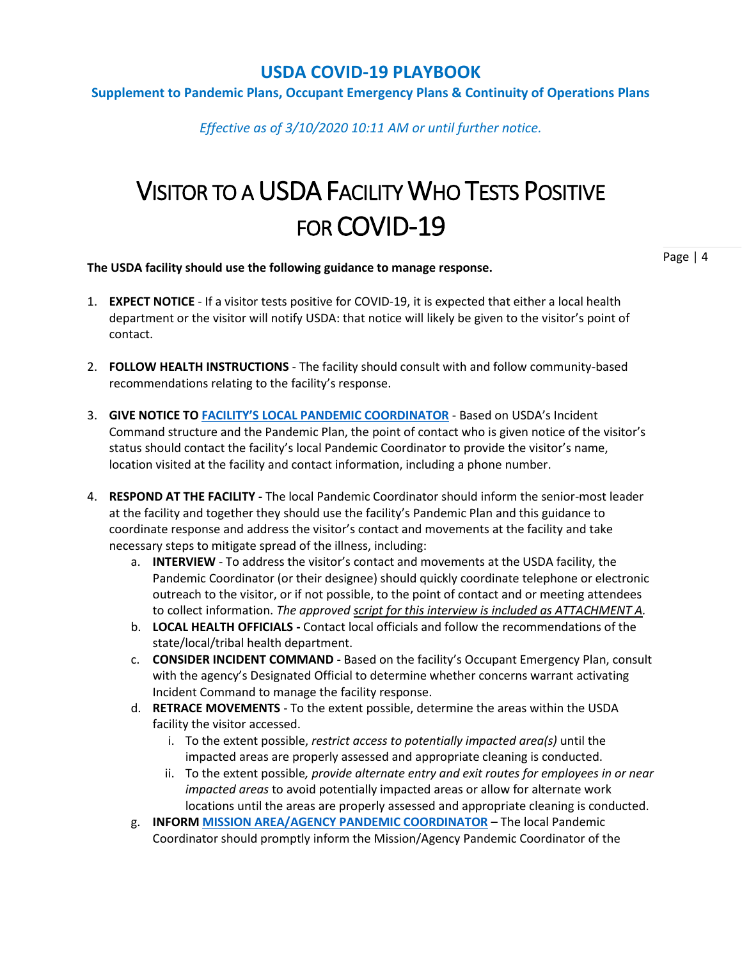#### **Supplement to Pandemic Plans, Occupant Emergency Plans & Continuity of Operations Plans**

*Effective as of 3/10/2020 10:11 AM or until further notice.*

# VISITOR TO A USDA FACILITY WHO TESTS POSITIVE FOR COVID-19

**The USDA facility should use the following guidance to manage response.**

- 1. **EXPECT NOTICE** If a visitor tests positive for COVID-19, it is expected that either a local health department or the visitor will notify USDA: that notice will likely be given to the visitor's point of contact.
- 2. **FOLLOW HEALTH INSTRUCTIONS** The facility should consult with and follow community-based recommendations relating to the facility's response.
- 3. **GIVE NOTICE TO FACILITY'S LOCAL [PANDEMIC COORDINATOR](https://gcc02.safelinks.protection.outlook.com/ap/x-59584e83/?url=https%3A%2F%2Fusdagcc.sharepoint.com%2F%3Ax%3A%2Fr%2Fsites%2FCOVID19%2F_layouts%2F15%2FDoc.aspx%3Fsourcedoc%3D%257BBB2FDD6D-1B89-400D-BF4B-49EED7F7DD33%257D%26file%3DMission%2520Area%2520Pandemic%2520Coordinators.xlsx%26action%3Ddefault%26mobileredirect%3Dtrue&data=02%7C01%7C%7C9ccba9b0c29e42413a6008d7c470796a%7Ced5b36e701ee4ebc867ee03cfa0d4697%7C0%7C0%7C637193859656930311&sdata=QMPGkec3hQGoTP4ys9bt8crnVArMBswJEQmhgnHZGNw%3D&reserved=0)** Based on USDA's Incident Command structure and the Pandemic Plan, the point of contact who is given notice of the visitor's status should contact the facility's local Pandemic Coordinator to provide the visitor's name, location visited at the facility and contact information, including a phone number.
- 4. **RESPOND AT THE FACILITY -** The local Pandemic Coordinator should inform the senior-most leader at the facility and together they should use the facility's Pandemic Plan and this guidance to coordinate response and address the visitor's contact and movements at the facility and take necessary steps to mitigate spread of the illness, including:
	- a. **INTERVIEW** To address the visitor's contact and movements at the USDA facility, the Pandemic Coordinator (or their designee) should quickly coordinate telephone or electronic outreach to the visitor, or if not possible, to the point of contact and or meeting attendees to collect information. *The approved script for this interview is included as ATTACHMENT A.*
	- b. **LOCAL HEALTH OFFICIALS -** Contact local officials and follow the recommendations of the state/local/tribal health department.
	- c. **CONSIDER INCIDENT COMMAND -** Based on the facility's Occupant Emergency Plan, consult with the agency's Designated Official to determine whether concerns warrant activating Incident Command to manage the facility response.
	- d. **RETRACE MOVEMENTS** To the extent possible, determine the areas within the USDA facility the visitor accessed.
		- i. To the extent possible, *restrict access to potentially impacted area(s)* until the impacted areas are properly assessed and appropriate cleaning is conducted.
		- ii. To the extent possible*, provide alternate entry and exit routes for employees in or near impacted areas* to avoid potentially impacted areas or allow for alternate work locations until the areas are properly assessed and appropriate cleaning is conducted.
	- g. **INFORM [MISSION AREA/AGENCY PANDEMIC COORDINATOR](https://gcc02.safelinks.protection.outlook.com/ap/x-59584e83/?url=https%3A%2F%2Fusdagcc.sharepoint.com%2F%3Ax%3A%2Fr%2Fsites%2FCOVID19%2F_layouts%2F15%2FDoc.aspx%3Fsourcedoc%3D%257BBB2FDD6D-1B89-400D-BF4B-49EED7F7DD33%257D%26file%3DMission%2520Area%2520Pandemic%2520Coordinators.xlsx%26action%3Ddefault%26mobileredirect%3Dtrue&data=02%7C01%7C%7C9ccba9b0c29e42413a6008d7c470796a%7Ced5b36e701ee4ebc867ee03cfa0d4697%7C0%7C0%7C637193859656930311&sdata=QMPGkec3hQGoTP4ys9bt8crnVArMBswJEQmhgnHZGNw%3D&reserved=0)** The local Pandemic Coordinator should promptly inform the Mission/Agency Pandemic Coordinator of the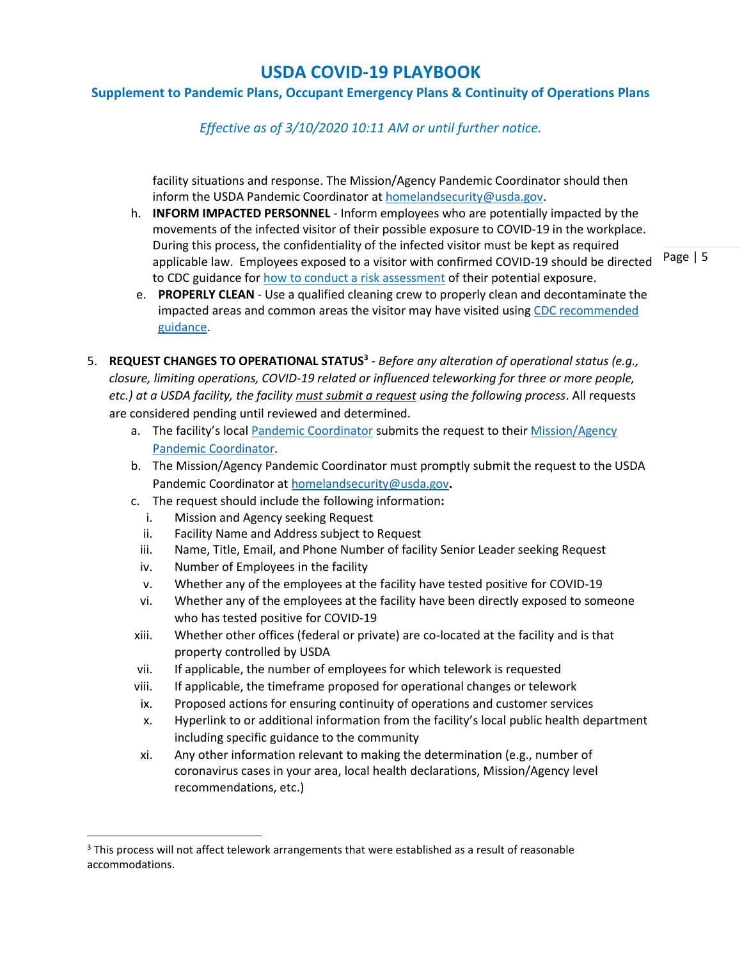## **Supplement to Pandemic Plans, Occupant Emergency Plans & Continuity of Operations Plans**

*Effective as of 3/10/2020 10:11 AM or until further notice.*

facility situations and response. The Mission/Agency Pandemic Coordinator should then inform the USDA Pandemic Coordinator at [homelandsecurity@usda.gov.](mailto:homelandsecurity@usda.gov)

- h. **INFORM IMPACTED PERSONNEL** Inform employees who are potentially impacted by the movements of the infected visitor of their possible exposure to COVID-19 in the workplace. During this process, the confidentiality of the infected visitor must be kept as required applicable law. Employees exposed to a visitor with confirmed COVID-19 should be directed to CDC guidance fo[r how to conduct a risk assessment](https://www.cdc.gov/coronavirus/2019-ncov/php/risk-assessment.html) of their potential exposure.
- e. **PROPERLY CLEAN** Use a qualified cleaning crew to properly clean and decontaminate the impacted areas and common areas the visitor may have visited using CDC recommended [guidance.](https://www.cdc.gov/coronavirus/2019-ncov/community/organizations/cleaning-disinfection.html)
- 5. **REQUEST CHANGES TO OPERATIONAL STATUS<sup>3</sup>** *Before any alteration of operational status (e.g., closure, limiting operations, COVID-19 related or influenced teleworking for three or more people, etc.) at a USDA facility, the facility must submit a request using the following process*. All requests are considered pending until reviewed and determined.
	- a. The facility's local [Pandemic Coordinator](https://gcc02.safelinks.protection.outlook.com/ap/x-59584e83/?url=https%3A%2F%2Fusdagcc.sharepoint.com%2F%3Ax%3A%2Fr%2Fsites%2FCOVID19%2F_layouts%2F15%2FDoc.aspx%3Fsourcedoc%3D%257BBB2FDD6D-1B89-400D-BF4B-49EED7F7DD33%257D%26file%3DMission%2520Area%2520Pandemic%2520Coordinators.xlsx%26action%3Ddefault%26mobileredirect%3Dtrue&data=02%7C01%7C%7C9ccba9b0c29e42413a6008d7c470796a%7Ced5b36e701ee4ebc867ee03cfa0d4697%7C0%7C0%7C637193859656930311&sdata=QMPGkec3hQGoTP4ys9bt8crnVArMBswJEQmhgnHZGNw%3D&reserved=0) submits the request to their [Mission/Agency](https://login.microsoftonline.com/ed5b36e7-01ee-4ebc-867e-e03cfa0d4697/oauth2/authorize?client_id=00000003-0000-0ff1-ce00-000000000000&response_mode=form_post&protectedtoken=true&response_type=code+id_token&resource=00000003-0000-0ff1-ce00-000000000000&scope=openid&nonce=5C5CA10119D20EC762A3058CE8A5BE5C4EEF0FA47F3C2DE3-82D25FCB1844C07CBCC915E3BA103C6CF524C2FB962F923B79A1132CF6071FB3&redirect_uri=https%3a%2f%2fusdagcc.sharepoint.com%2f_forms%2fdefault.aspx&wsucxt=1&cobrandid=11bd8083-87e0-41b5-bb78-0bc43c8a8e8a&client-request-id=e7393d9f-c028-a000-c629-b86c9bbee2b4&sso_nonce=AQABAAAAAABeAFzDwllzTYGDLh_qYbH8Bx-3mAFBXsoifhmvNFOxMNavBpB0xunEzFT_U8dLaJPFVGh2hLoTlh22DAc8Ayc1tKjwHOIeqB40uxiSPWHfvyAA&mscrid=e7393d9f-c028-a000-c629-b86c9bbee2b4)  [Pandemic Coordinator.](https://login.microsoftonline.com/ed5b36e7-01ee-4ebc-867e-e03cfa0d4697/oauth2/authorize?client_id=00000003-0000-0ff1-ce00-000000000000&response_mode=form_post&protectedtoken=true&response_type=code+id_token&resource=00000003-0000-0ff1-ce00-000000000000&scope=openid&nonce=5C5CA10119D20EC762A3058CE8A5BE5C4EEF0FA47F3C2DE3-82D25FCB1844C07CBCC915E3BA103C6CF524C2FB962F923B79A1132CF6071FB3&redirect_uri=https%3a%2f%2fusdagcc.sharepoint.com%2f_forms%2fdefault.aspx&wsucxt=1&cobrandid=11bd8083-87e0-41b5-bb78-0bc43c8a8e8a&client-request-id=e7393d9f-c028-a000-c629-b86c9bbee2b4&sso_nonce=AQABAAAAAABeAFzDwllzTYGDLh_qYbH8Bx-3mAFBXsoifhmvNFOxMNavBpB0xunEzFT_U8dLaJPFVGh2hLoTlh22DAc8Ayc1tKjwHOIeqB40uxiSPWHfvyAA&mscrid=e7393d9f-c028-a000-c629-b86c9bbee2b4)
	- b. The Mission/Agency Pandemic Coordinator must promptly submit the request to the USDA Pandemic Coordinator at [homelandsecurity@usda.gov](mailto:homelandsecurity@usda.gov)**.**
	- c. The request should include the following information**:**
		- i. Mission and Agency seeking Request
		- ii. Facility Name and Address subject to Request
		- iii. Name, Title, Email, and Phone Number of facility Senior Leader seeking Request
		- iv. Number of Employees in the facility
		- v. Whether any of the employees at the facility have tested positive for COVID-19
		- vi. Whether any of the employees at the facility have been directly exposed to someone who has tested positive for COVID-19
	- xiii. Whether other offices (federal or private) are co-located at the facility and is that property controlled by USDA
	- vii. If applicable, the number of employees for which telework is requested
	- viii. If applicable, the timeframe proposed for operational changes or telework
	- ix. Proposed actions for ensuring continuity of operations and customer services
	- x. Hyperlink to or additional information from the facility's local public health department including specific guidance to the community
	- xi. Any other information relevant to making the determination (e.g., number of coronavirus cases in your area, local health declarations, Mission/Agency level recommendations, etc.)

<sup>&</sup>lt;sup>3</sup> This process will not affect telework arrangements that were established as a result of reasonable accommodations.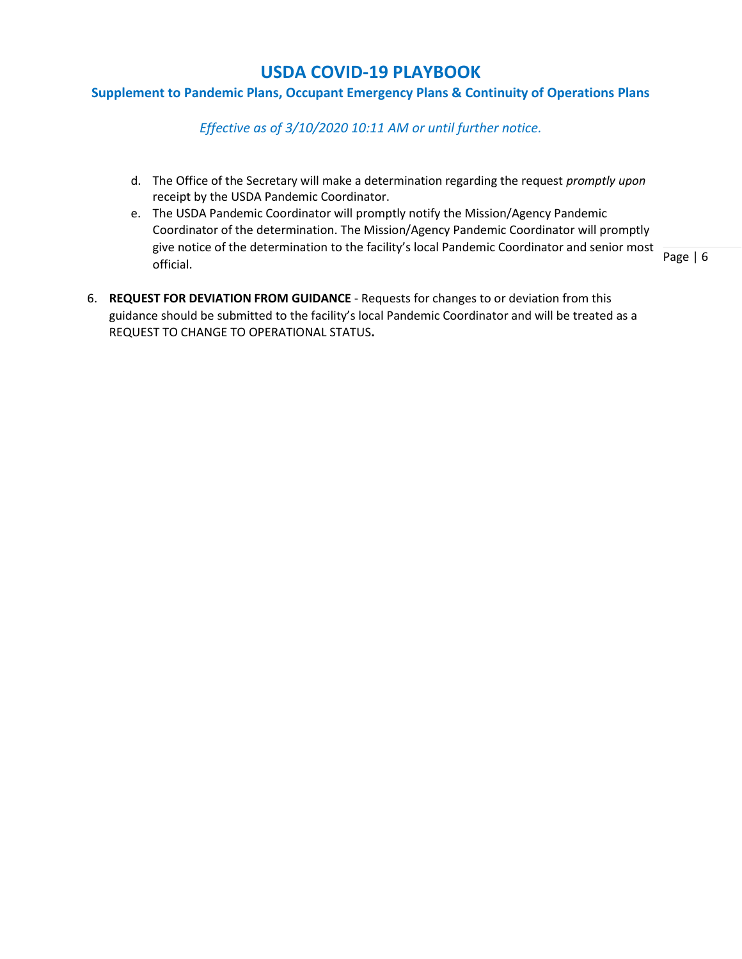### **Supplement to Pandemic Plans, Occupant Emergency Plans & Continuity of Operations Plans**

*Effective as of 3/10/2020 10:11 AM or until further notice.*

- d. The Office of the Secretary will make a determination regarding the request *promptly upon*  receipt by the USDA Pandemic Coordinator.
- e. The USDA Pandemic Coordinator will promptly notify the Mission/Agency Pandemic Coordinator of the determination. The Mission/Agency Pandemic Coordinator will promptly give notice of the determination to the facility's local Pandemic Coordinator and senior most official.
- 6. **REQUEST FOR DEVIATION FROM GUIDANCE** Requests for changes to or deviation from this guidance should be submitted to the facility's local Pandemic Coordinator and will be treated as a REQUEST TO CHANGE TO OPERATIONAL STATUS**.**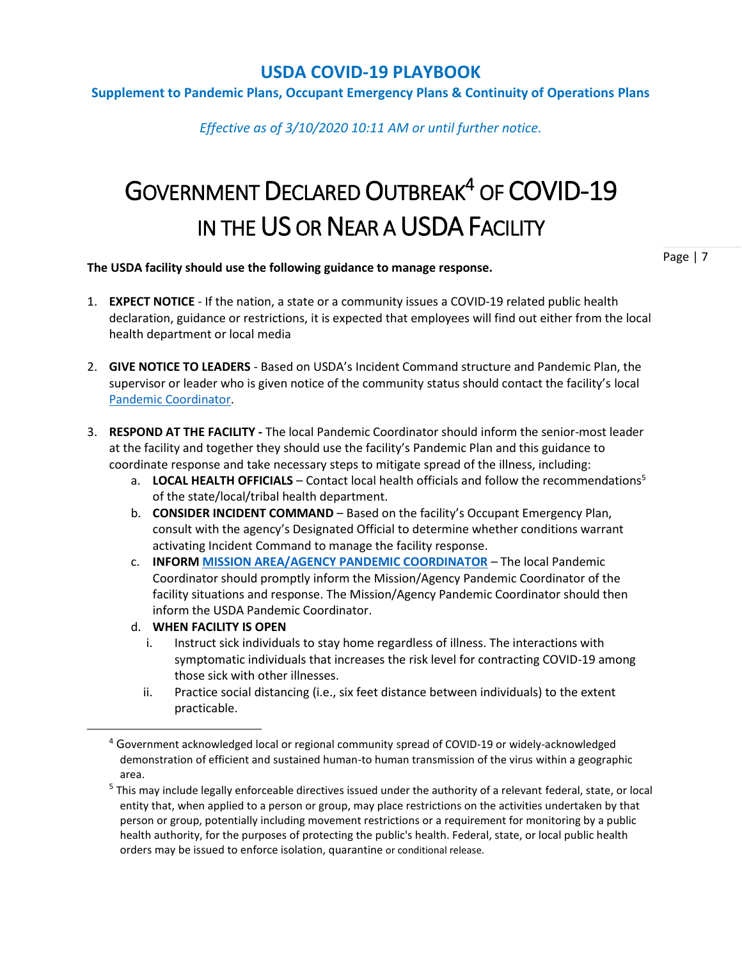#### **Supplement to Pandemic Plans, Occupant Emergency Plans & Continuity of Operations Plans**

*Effective as of 3/10/2020 10:11 AM or until further notice.*

# GOVERNMENT DECLARED OUTBREAK<sup>4</sup> OF COVID-19 IN THE US OR NEAR A USDA FACILITY

#### **The USDA facility should use the following guidance to manage response.**

- 1. **EXPECT NOTICE** If the nation, a state or a community issues a COVID-19 related public health declaration, guidance or restrictions, it is expected that employees will find out either from the local health department or local media
- 2. **GIVE NOTICE TO LEADERS** Based on USDA's Incident Command structure and Pandemic Plan, the supervisor or leader who is given notice of the community status should contact the facility's local [Pandemic Coordinator.](https://gcc02.safelinks.protection.outlook.com/ap/x-59584e83/?url=https%3A%2F%2Fusdagcc.sharepoint.com%2F%3Ax%3A%2Fr%2Fsites%2FCOVID19%2F_layouts%2F15%2FDoc.aspx%3Fsourcedoc%3D%257BBB2FDD6D-1B89-400D-BF4B-49EED7F7DD33%257D%26file%3DMission%2520Area%2520Pandemic%2520Coordinators.xlsx%26action%3Ddefault%26mobileredirect%3Dtrue&data=02%7C01%7C%7C9ccba9b0c29e42413a6008d7c470796a%7Ced5b36e701ee4ebc867ee03cfa0d4697%7C0%7C0%7C637193859656930311&sdata=QMPGkec3hQGoTP4ys9bt8crnVArMBswJEQmhgnHZGNw%3D&reserved=0)
- 3. **RESPOND AT THE FACILITY -** The local Pandemic Coordinator should inform the senior-most leader at the facility and together they should use the facility's Pandemic Plan and this guidance to coordinate response and take necessary steps to mitigate spread of the illness, including:
	- a. **LOCAL HEALTH OFFICIALS** Contact local health officials and follow the recommendations<sup>5</sup> of the state/local/tribal health department.
	- b. **CONSIDER INCIDENT COMMAND**  Based on the facility's Occupant Emergency Plan, consult with the agency's Designated Official to determine whether conditions warrant activating Incident Command to manage the facility response.
	- c. **INFORM [MISSION AREA/AGENCY PANDEMIC COORDINATOR](https://gcc02.safelinks.protection.outlook.com/ap/x-59584e83/?url=https%3A%2F%2Fusdagcc.sharepoint.com%2F%3Ax%3A%2Fr%2Fsites%2FCOVID19%2F_layouts%2F15%2FDoc.aspx%3Fsourcedoc%3D%257BBB2FDD6D-1B89-400D-BF4B-49EED7F7DD33%257D%26file%3DMission%2520Area%2520Pandemic%2520Coordinators.xlsx%26action%3Ddefault%26mobileredirect%3Dtrue&data=02%7C01%7C%7C9ccba9b0c29e42413a6008d7c470796a%7Ced5b36e701ee4ebc867ee03cfa0d4697%7C0%7C0%7C637193859656930311&sdata=QMPGkec3hQGoTP4ys9bt8crnVArMBswJEQmhgnHZGNw%3D&reserved=0)** The local Pandemic Coordinator should promptly inform the Mission/Agency Pandemic Coordinator of the facility situations and response. The Mission/Agency Pandemic Coordinator should then inform the USDA Pandemic Coordinator.
	- d. **WHEN FACILITY IS OPEN** 
		- i. Instruct sick individuals to stay home regardless of illness. The interactions with symptomatic individuals that increases the risk level for contracting COVID-19 among those sick with other illnesses.
		- ii. Practice social distancing (i.e., six feet distance between individuals) to the extent practicable.

 $4$  Government acknowledged local or regional community spread of COVID-19 or widely-acknowledged demonstration of efficient and sustained human-to human transmission of the virus within a geographic area.

<sup>&</sup>lt;sup>5</sup> This may include legally enforceable directives issued under the authority of a relevant federal, state, or local entity that, when applied to a person or group, may place restrictions on the activities undertaken by that person or group, potentially including movement restrictions or a requirement for monitoring by a public health authority, for the purposes of protecting the public's health. Federal, state, or local public health orders may be issued to enforce isolation, quarantine or conditional release.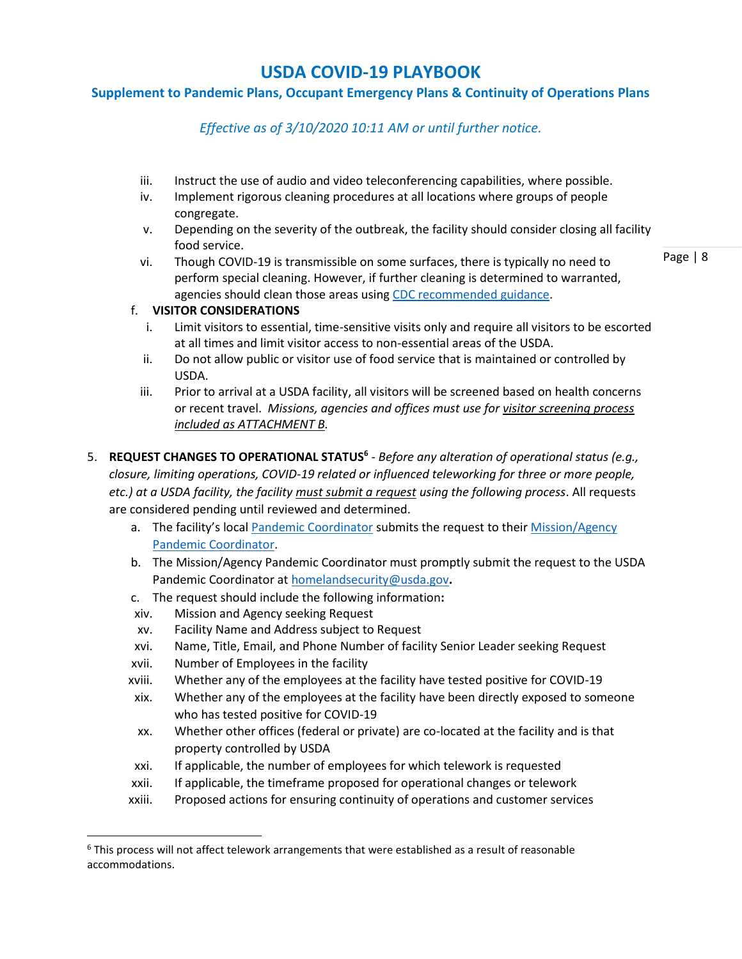## **Supplement to Pandemic Plans, Occupant Emergency Plans & Continuity of Operations Plans**

*Effective as of 3/10/2020 10:11 AM or until further notice.*

- iii. Instruct the use of audio and video teleconferencing capabilities, where possible.
- iv. Implement rigorous cleaning procedures at all locations where groups of people congregate.
- v. Depending on the severity of the outbreak, the facility should consider closing all facility food service.
- vi. Though COVID-19 is transmissible on some surfaces, there is typically no need to perform special cleaning. However, if further cleaning is determined to warranted, agencies should clean those areas using [CDC recommended guidance.](https://www.cdc.gov/coronavirus/2019-ncov/community/organizations/cleaning-disinfection.html)

Page | 8

#### f. **VISITOR CONSIDERATIONS**

- i. Limit visitors to essential, time-sensitive visits only and require all visitors to be escorted at all times and limit visitor access to non-essential areas of the USDA.
- ii. Do not allow public or visitor use of food service that is maintained or controlled by USDA.
- iii. Prior to arrival at a USDA facility, all visitors will be screened based on health concerns or recent travel. *Missions, agencies and offices must use for visitor screening process included as ATTACHMENT B.*
- 5. **REQUEST CHANGES TO OPERATIONAL STATUS<sup>6</sup>** *Before any alteration of operational status (e.g., closure, limiting operations, COVID-19 related or influenced teleworking for three or more people, etc.) at a USDA facility, the facility must submit a request using the following process*. All requests are considered pending until reviewed and determined.
	- a. The facility's local [Pandemic Coordinator](https://gcc02.safelinks.protection.outlook.com/ap/x-59584e83/?url=https%3A%2F%2Fusdagcc.sharepoint.com%2F%3Ax%3A%2Fr%2Fsites%2FCOVID19%2F_layouts%2F15%2FDoc.aspx%3Fsourcedoc%3D%257BBB2FDD6D-1B89-400D-BF4B-49EED7F7DD33%257D%26file%3DMission%2520Area%2520Pandemic%2520Coordinators.xlsx%26action%3Ddefault%26mobileredirect%3Dtrue&data=02%7C01%7C%7C9ccba9b0c29e42413a6008d7c470796a%7Ced5b36e701ee4ebc867ee03cfa0d4697%7C0%7C0%7C637193859656930311&sdata=QMPGkec3hQGoTP4ys9bt8crnVArMBswJEQmhgnHZGNw%3D&reserved=0) submits the request to their [Mission/Agency](https://gcc02.safelinks.protection.outlook.com/ap/x-59584e83/?url=https%3A%2F%2Fusdagcc.sharepoint.com%2F%3Ax%3A%2Fr%2Fsites%2FCOVID19%2F_layouts%2F15%2FDoc.aspx%3Fsourcedoc%3D%257BBB2FDD6D-1B89-400D-BF4B-49EED7F7DD33%257D%26file%3DMission%2520Area%2520Pandemic%2520Coordinators.xlsx%26action%3Ddefault%26mobileredirect%3Dtrue&data=02%7C01%7C%7C9ccba9b0c29e42413a6008d7c470796a%7Ced5b36e701ee4ebc867ee03cfa0d4697%7C0%7C0%7C637193859656930311&sdata=QMPGkec3hQGoTP4ys9bt8crnVArMBswJEQmhgnHZGNw%3D&reserved=0)  [Pandemic Coordinator.](https://gcc02.safelinks.protection.outlook.com/ap/x-59584e83/?url=https%3A%2F%2Fusdagcc.sharepoint.com%2F%3Ax%3A%2Fr%2Fsites%2FCOVID19%2F_layouts%2F15%2FDoc.aspx%3Fsourcedoc%3D%257BBB2FDD6D-1B89-400D-BF4B-49EED7F7DD33%257D%26file%3DMission%2520Area%2520Pandemic%2520Coordinators.xlsx%26action%3Ddefault%26mobileredirect%3Dtrue&data=02%7C01%7C%7C9ccba9b0c29e42413a6008d7c470796a%7Ced5b36e701ee4ebc867ee03cfa0d4697%7C0%7C0%7C637193859656930311&sdata=QMPGkec3hQGoTP4ys9bt8crnVArMBswJEQmhgnHZGNw%3D&reserved=0)
	- b. The Mission/Agency Pandemic Coordinator must promptly submit the request to the USDA Pandemic Coordinator at [homelandsecurity@usda.gov](mailto:homelandsecurity@usda.gov)**.**
	- c. The request should include the following information**:**
	- xiv. Mission and Agency seeking Request
	- xv. Facility Name and Address subject to Request
	- xvi. Name, Title, Email, and Phone Number of facility Senior Leader seeking Request
	- xvii. Number of Employees in the facility
	- xviii. Whether any of the employees at the facility have tested positive for COVID-19
	- xix. Whether any of the employees at the facility have been directly exposed to someone who has tested positive for COVID-19
	- xx. Whether other offices (federal or private) are co-located at the facility and is that property controlled by USDA
	- xxi. If applicable, the number of employees for which telework is requested
	- xxii. If applicable, the timeframe proposed for operational changes or telework
	- xxiii. Proposed actions for ensuring continuity of operations and customer services

 $6$  This process will not affect telework arrangements that were established as a result of reasonable accommodations.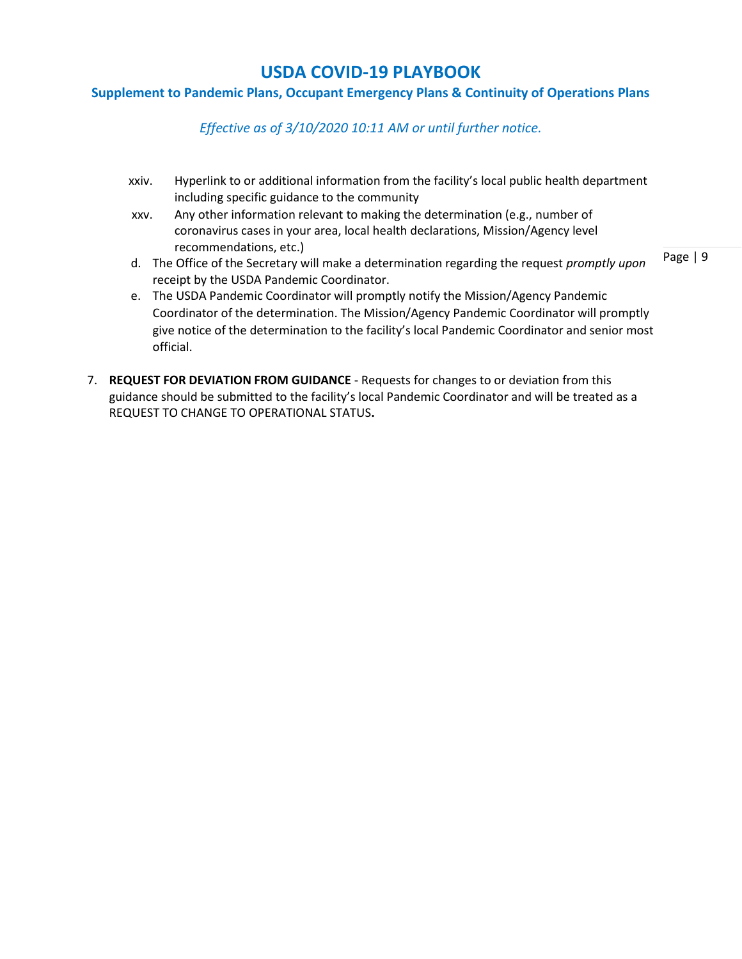### **Supplement to Pandemic Plans, Occupant Emergency Plans & Continuity of Operations Plans**

*Effective as of 3/10/2020 10:11 AM or until further notice.*

- xxiv. Hyperlink to or additional information from the facility's local public health department including specific guidance to the community
- xxv. Any other information relevant to making the determination (e.g., number of coronavirus cases in your area, local health declarations, Mission/Agency level recommendations, etc.)
- d. The Office of the Secretary will make a determination regarding the request *promptly upon*  receipt by the USDA Pandemic Coordinator.
- e. The USDA Pandemic Coordinator will promptly notify the Mission/Agency Pandemic Coordinator of the determination. The Mission/Agency Pandemic Coordinator will promptly give notice of the determination to the facility's local Pandemic Coordinator and senior most official.
- 7. **REQUEST FOR DEVIATION FROM GUIDANCE** Requests for changes to or deviation from this guidance should be submitted to the facility's local Pandemic Coordinator and will be treated as a REQUEST TO CHANGE TO OPERATIONAL STATUS**.**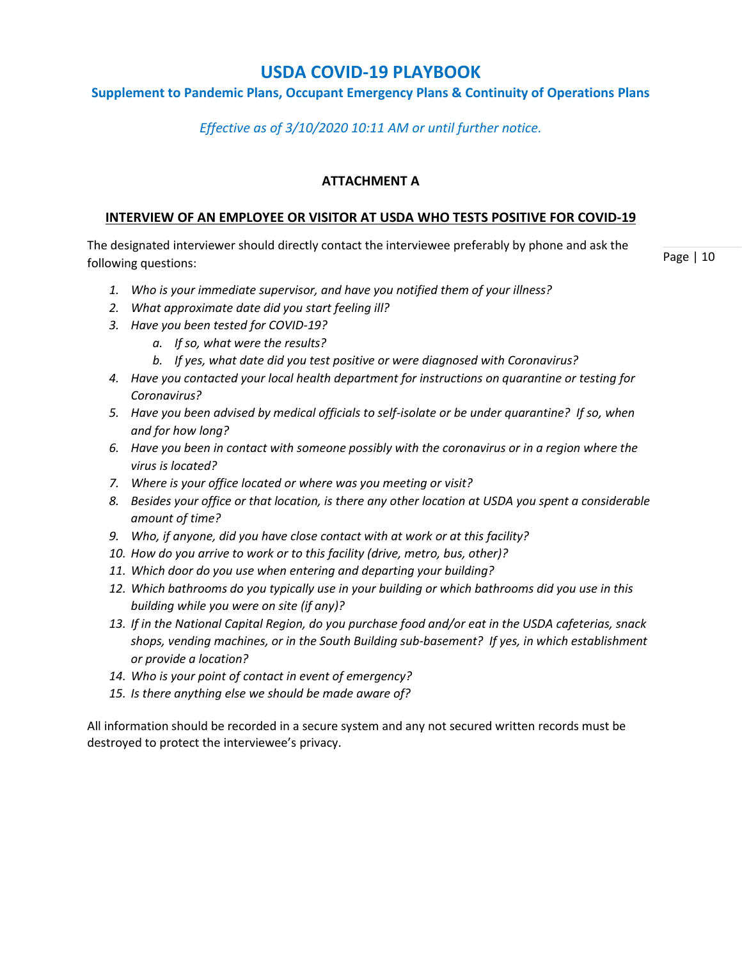## **Supplement to Pandemic Plans, Occupant Emergency Plans & Continuity of Operations Plans**

*Effective as of 3/10/2020 10:11 AM or until further notice.*

## **ATTACHMENT A**

#### **INTERVIEW OF AN EMPLOYEE OR VISITOR AT USDA WHO TESTS POSITIVE FOR COVID-19**

The designated interviewer should directly contact the interviewee preferably by phone and ask the following questions:

Page | 10

- *1. Who is your immediate supervisor, and have you notified them of your illness?*
- *2. What approximate date did you start feeling ill?*
- *3. Have you been tested for COVID-19?*
	- *a. If so, what were the results?*
	- *b. If yes, what date did you test positive or were diagnosed with Coronavirus?*
- *4. Have you contacted your local health department for instructions on quarantine or testing for Coronavirus?*
- *5. Have you been advised by medical officials to self-isolate or be under quarantine? If so, when and for how long?*
- *6. Have you been in contact with someone possibly with the coronavirus or in a region where the virus is located?*
- *7. Where is your office located or where was you meeting or visit?*
- *8. Besides your office or that location, is there any other location at USDA you spent a considerable amount of time?*
- *9. Who, if anyone, did you have close contact with at work or at this facility?*
- *10. How do you arrive to work or to this facility (drive, metro, bus, other)?*
- *11. Which door do you use when entering and departing your building?*
- *12. Which bathrooms do you typically use in your building or which bathrooms did you use in this building while you were on site (if any)?*
- *13. If in the National Capital Region, do you purchase food and/or eat in the USDA cafeterias, snack shops, vending machines, or in the South Building sub-basement? If yes, in which establishment or provide a location?*
- *14. Who is your point of contact in event of emergency?*
- *15. Is there anything else we should be made aware of?*

All information should be recorded in a secure system and any not secured written records must be destroyed to protect the interviewee's privacy.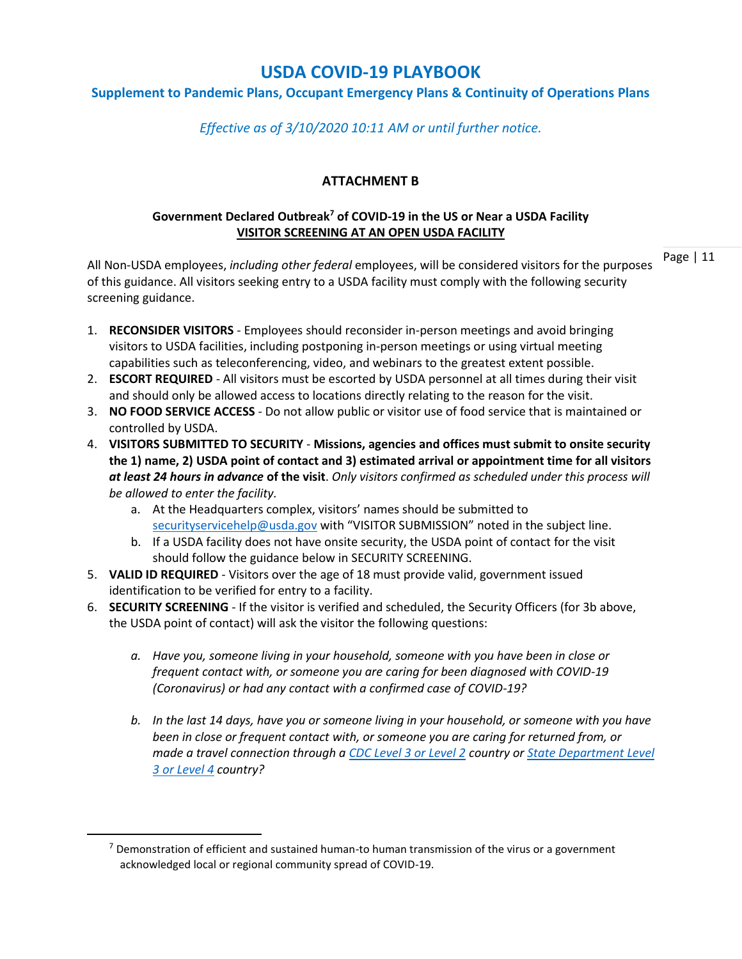## **Supplement to Pandemic Plans, Occupant Emergency Plans & Continuity of Operations Plans**

*Effective as of 3/10/2020 10:11 AM or until further notice.*

## **ATTACHMENT B**

#### **Government Declared Outbreak<sup>7</sup> of COVID-19 in the US or Near a USDA Facility VISITOR SCREENING AT AN OPEN USDA FACILITY**

Page | 11

All Non-USDA employees, *including other federal* employees, will be considered visitors for the purposes of this guidance. All visitors seeking entry to a USDA facility must comply with the following security screening guidance.

- 1. **RECONSIDER VISITORS**  Employees should reconsider in-person meetings and avoid bringing visitors to USDA facilities, including postponing in-person meetings or using virtual meeting capabilities such as teleconferencing, video, and webinars to the greatest extent possible.
- 2. **ESCORT REQUIRED** All visitors must be escorted by USDA personnel at all times during their visit and should only be allowed access to locations directly relating to the reason for the visit.
- 3. **NO FOOD SERVICE ACCESS** Do not allow public or visitor use of food service that is maintained or controlled by USDA.
- 4. **VISITORS SUBMITTED TO SECURITY Missions, agencies and offices must submit to onsite security the 1) name, 2) USDA point of contact and 3) estimated arrival or appointment time for all visitors**  *at least 24 hours in advance* **of the visit**. *Only visitors confirmed as scheduled under this process will be allowed to enter the facility.*
	- a. At the Headquarters complex, visitors' names should be submitted to [securityservicehelp@usda.gov](mailto:securityservicehelp@usda.gov) with "VISITOR SUBMISSION" noted in the subject line.
	- b. If a USDA facility does not have onsite security, the USDA point of contact for the visit should follow the guidance below in SECURITY SCREENING.
- 5. **VALID ID REQUIRED** Visitors over the age of 18 must provide valid, government issued identification to be verified for entry to a facility.
- 6. **SECURITY SCREENING** If the visitor is verified and scheduled, the Security Officers (for 3b above, the USDA point of contact) will ask the visitor the following questions:
	- *a. Have you, someone living in your household, someone with you have been in close or frequent contact with, or someone you are caring for been diagnosed with COVID-19 (Coronavirus) or had any contact with a confirmed case of COVID-19?*
	- *b. In the last 14 days, have you or someone living in your household, or someone with you have been in close or frequent contact with, or someone you are caring for returned from, or made a travel connection through a [CDC Level 3 or Level 2](https://www.cdc.gov/coronavirus/2019-ncov/travelers/index.html) country or [State Department Level](https://travel.state.gov/content/travel/en/international-travel.html)  [3 or Level 4](https://travel.state.gov/content/travel/en/international-travel.html) country?*

 $<sup>7</sup>$  Demonstration of efficient and sustained human-to human transmission of the virus or a government</sup> acknowledged local or regional community spread of COVID-19.